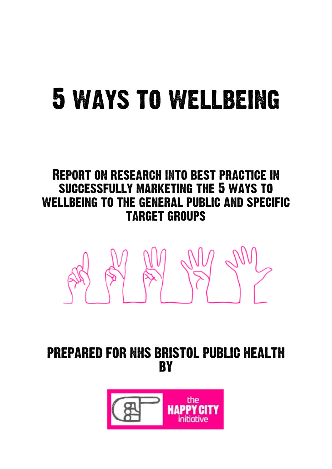# 5 ways to wellbeing

### Report on research into best practice in successfully marketing the 5 ways to wellbeing to the general public and specific target groups



PREPARED FOR NHS BRISTOL PUBLIC HEALTH **BY** 

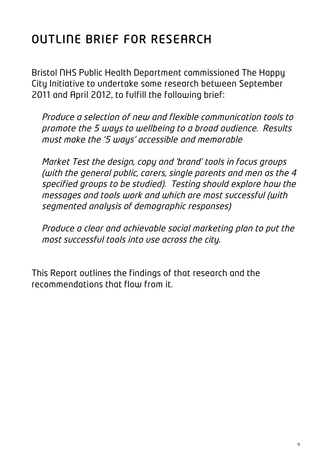## OUTLINE BRIEF FOR RESEARCH

Bristol NHS Public Health Department commissioned The Happy City Initiative to undertake some research between September 2011 and April 2012, to fulfill the following brief:

Produce a selection of new and flexible communication tools to promote the 5 ways to wellbeing to a broad audience. Results must make the '5 ways' accessible and memorable

Market Test the design, copy and 'brand' tools in focus groups (with the general public, carers, single parents and men as the 4 specified groups to be studied). Testing should explore how the messages and tools work and which are most successful (with segmented analysis of demographic responses)

Produce a clear and achievable social marketing plan to put the most successful tools into use across the city.

This Report outlines the findings of that research and the recommendations that flow from it.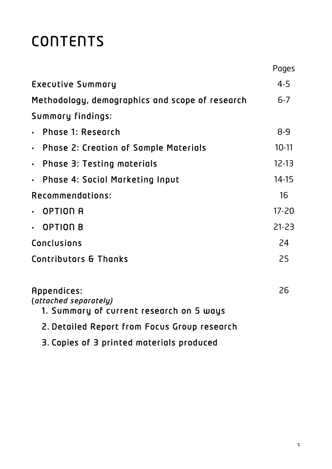## **CONTENTS**

|                                                                                  | Pages     |
|----------------------------------------------------------------------------------|-----------|
| <b>Executive Summary</b>                                                         | $4 - 5$   |
| Methodology, demographics and scope of research                                  | $6 - 7$   |
| Summary findings:                                                                |           |
| Phase 1: Research                                                                | $8 - 9$   |
| <b>Phase 2: Creation of Sample Materials</b><br>$\bullet$                        | $10-11$   |
| <b>Phase 3: Testing materials</b><br>$\bullet$                                   | $12 - 13$ |
| <b>Phase 4: Social Marketing Input</b><br>$\bullet$                              | $14 - 15$ |
| Recommendations:                                                                 | 16        |
| <b>OPTION A</b><br>$\bullet$                                                     | $17 - 20$ |
| <b>OPTION B</b><br>$\bullet$                                                     | $21 - 23$ |
| Conclusions                                                                      | 24        |
| Contributors & Thanks                                                            | 25        |
| Appendices:<br>(attached separately)<br>1. Summary of current research on 5 ways | 26        |
| 2. Detailed Report from Focus Group research                                     |           |

3. Copies of 3 printed materials produced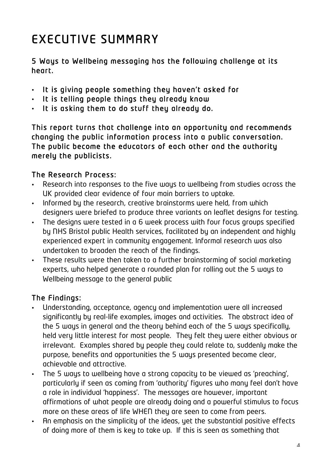## EXECUTIVE SUMMARY

5 Ways to Wellbeing messaging has the following challenge at its heart.

- It is giving people something they haven't asked for
- It is telling people things they already know
- It is asking them to do stuff they already do.

This report turns that challenge into an opportunity and recommends changing the public information process into a public conversation. The public become the educators of each other and the authority merely the publicists.

#### The Research Process:

- Research into responses to the five ways to wellbeing from studies across the UK provided clear evidence of four main barriers to uptake.
- Informed by the research, creative brainstorms were held, from which designers were briefed to produce three variants on leaflet designs for testing.
- The designs were tested in a 6 week process with four focus groups specified by NHS Bristol public Health services, facilitated by an independent and highly experienced expert in community engagement. Informal research was also undertaken to broaden the reach of the findings.
- These results were then taken to a further brainstorming of social marketing experts, who helped generate a rounded plan for rolling out the 5 ways to Wellbeing message to the general public

#### The Findings:

- Understanding, acceptance, agency and implementation were all increased significantly by real-life examples, images and activities. The abstract idea of the 5 ways in general and the theory behind each of the 5 ways specifically, held very little interest for most people. They felt they were either obvious or irrelevant. Examples shared by people they could relate to, suddenly make the purpose, benefits and opportunities the 5 ways presented become clear, achievable and attractive.
- The 5 ways to wellbeing have a strong capacity to be viewed as 'preaching', particularly if seen as coming from 'authority' figures who many feel don't have a role in individual 'happiness'. The messages are however, important affirmations of what people are already doing and a powerful stimulus to focus more on these areas of life WHEN they are seen to come from peers.
- An emphasis on the simplicity of the ideas, yet the substantial positive effects of doing more of them is key to take up. If this is seen as something that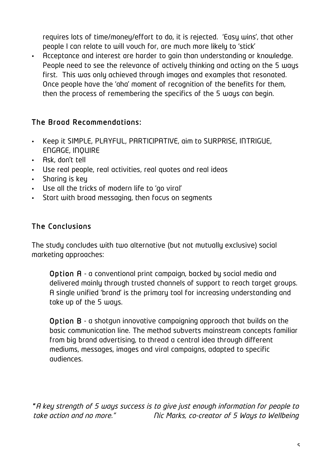requires lots of time/money/effort to do, it is rejected. 'Easy wins', that other people I can relate to will vouch for, are much more likely to 'stick'

• Acceptance and interest are harder to gain than understanding or knowledge. People need to see the relevance of actively thinking and acting on the 5 ways first. This was only achieved through images and examples that resonated. Once people have the 'aha' moment of recognition of the benefits for them, then the process of remembering the specifics of the 5 ways can begin.

#### The Broad Recommendations:

- Keep it SIMPLE, PLAYFUL, PARTICIPATIVE, aim to SURPRISE, INTRIGUE, ENGAGE, INQUIRE
- Ask, don't tell
- Use real people, real activities, real quotes and real ideas
- Sharing is key
- Use all the tricks of modern life to 'go viral'
- Start with broad messaging, then focus on segments

#### The Conclusions

The study concludes with two alternative (but not mutually exclusive) social marketing approaches:

Option A - a conventional print campaign, backed by social media and delivered mainly through trusted channels of support to reach target groups. A single unified 'brand' is the primary tool for increasing understanding and take up of the 5 ways.

Option B - a shotgun innovative campaigning approach that builds on the basic communication line. The method subverts mainstream concepts familiar from big brand advertising, to thread a central idea through different mediums, messages, images and viral campaigns, adapted to specific audiences.

"A key strength of 5 ways success is to give just enough information for people to take action and no more." Nic Marks, co-creator of 5 Ways to Wellbeing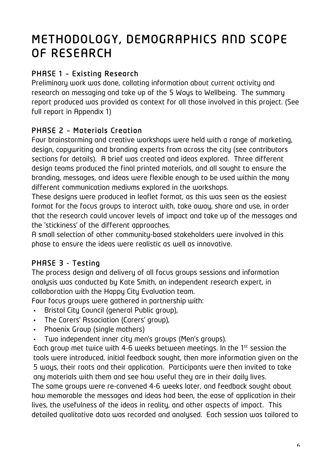### METHODOLOGY, DEMOGRAPHICS AND SCOPE OF RESEARCH

#### PHASE 1 – Existing Research

Preliminary work was done, collating information about current activity and research on messaging and take up of the 5 Ways to Wellbeing. The summary report produced was provided as context for all those involved in this project. (See full report in Appendix 1)

#### PHASE 2 – Materials Creation

Four brainstorming and creative workshops were held with a range of marketing, design, copywriting and branding experts from across the city (see contributors sections for details). A brief was created and ideas explored. Three different design teams produced the final printed materials, and all sought to ensure the branding, messages, and ideas were flexible enough to be used within the many different communication mediums explored in the workshops.

These designs were produced in leaflet format, as this was seen as the easiest format for the focus groups to interact with, take away, share and use, in order that the research could uncover levels of impact and take up of the messages and the 'stickiness' of the different approaches.

A small selection of other community-based stakeholders were involved in this phase to ensure the ideas were realistic as well as innovative.

#### PHASE 3 - Testing

The process design and delivery of all focus groups sessions and information analysis was conducted by Kate Smith, an independent research expert, in collaboration with the Happy City Evaluation team.

Four focus groups were gathered in partnership with:

- Bristol City Council (general Public group),
- The Carers' Association (Carers' group),
- Phoenix Group (single mothers)
- Two independent inner city men's groups (Men's groups).

Each group met twice with 4-6 weeks between meetings. In the 1st session the tools were introduced, initial feedback sought, then more information given on the 5 ways, their roots and their application. Participants were then invited to take any materials with them and see how useful they are in their daily lives. The same groups were re-convened 4-6 weeks later, and feedback sought about how memorable the messages and ideas had been, the ease of application in their lives, the usefulness of the ideas in reality, and other aspects of impact. This detailed qualitative data was recorded and analysed. Each session was tailored to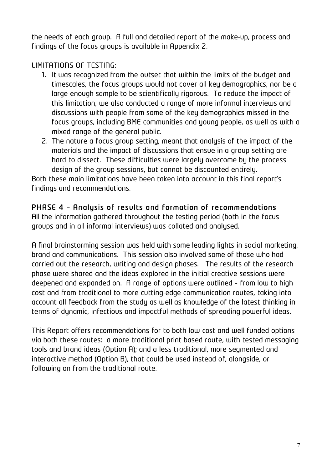the needs of each group. A full and detailed report of the make-up, process and findings of the focus groups is available in Appendix 2.

LIMITATIONS OF TESTING:

- 1. It was recognized from the outset that within the limits of the budget and timescales, the focus groups would not cover all key demographics, nor be a large enough sample to be scientifically rigorous. To reduce the impact of this limitation, we also conducted a range of more informal interviews and discussions with people from some of the key demographics missed in the focus groups, including BME communities and young people, as well as with a mixed range of the general public.
- 2. The nature a focus group setting, meant that analysis of the impact of the materials and the impact of discussions that ensue in a group setting are hard to dissect. These difficulties were largely overcome by the process design of the group sessions, but cannot be discounted entirely.

Both these main limitations have been taken into account in this final report's findings and recommendations.

#### PHASE 4 – Analysis of results and formation of recommendations

All the information gathered throughout the testing period (both in the focus groups and in all informal interviews) was collated and analysed.

A final brainstorming session was held with some leading lights in social marketing, brand and communications. This session also involved some of those who had carried out the research, writing and design phases. The results of the research phase were shared and the ideas explored in the initial creative sessions were deepened and expanded on. A range of options were outlined – from low to high cost and from traditional to more cutting-edge communication routes, taking into account all feedback from the study as well as knowledge of the latest thinking in terms of dynamic, infectious and impactful methods of spreading powerful ideas.

This Report offers recommendations for to both low cost and well funded options via both these routes: a more traditional print based route, with tested messaging tools and brand ideas (Option A); and a less traditional, more segmented and interactive method (Option B), that could be used instead of, alongside, or following on from the traditional route.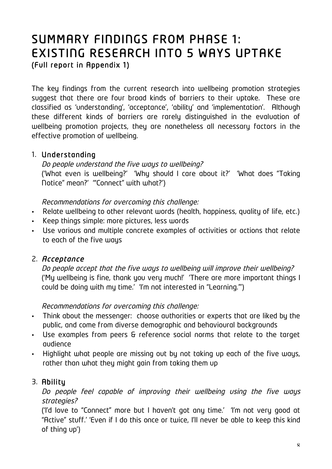## SUMMARY FINDINGS FROM PHASE 1: EXISTING RESEARCH INTO 5 WAYS UPTAKE

The key findings from the current research into wellbeing promotion strategies suggest that there are four broad kinds of barriers to their uptake. These are classified as 'understanding', 'acceptance', 'ability' and 'implementation'. Although these different kinds of barriers are rarely distinguished in the evaluation of wellbeing promotion projects, they are nonetheless all necessary factors in the effective promotion of wellbeing.

#### 1. Understanding

#### Do people understand the five ways to wellbeing? ('What even is wellbeing?' 'Why should I care about it?' 'What does "Taking Notice" mean?' '"Connect" with what?')

Recommendations for overcoming this challenge:

- Relate wellbeing to other relevant words (health, happiness, quality of life, etc.)
- Keep things simple: more pictures, less words
- Use various and multiple concrete examples of activities or actions that relate to each of the five ways

#### 2. Acceptance

Do people accept that the five ways to wellbeing will improve their wellbeing? ('My wellbeing is fine, thank you very much!' 'There are more important things I could be doing with my time.' 'I'm not interested in "Learning."')

#### Recommendations for overcoming this challenge:

- Think about the messenger: choose authorities or experts that are liked by the public, and come from diverse demographic and behavioural backgrounds
- Use examples from peers & reference social norms that relate to the target audience
- Highlight what people are missing out by not taking up each of the five ways, rather than what they might gain from taking them up

#### 3. Ability

Do people feel capable of improving their wellbeing using the five ways strategies?

('I'd love to "Connect" more but I haven't got any time.' 'I'm not very good at "Active" stuff.' 'Even if I do this once or twice, I'll never be able to keep this kind of thing up')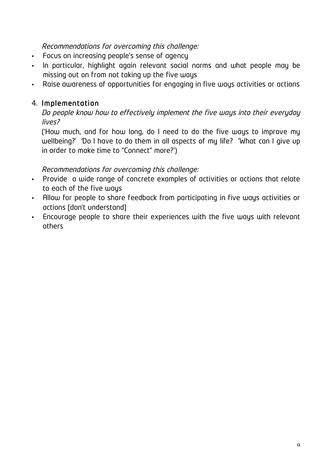#### Recommendations for overcoming this challenge:

- Focus on increasing people's sense of agency
- In particular, highlight again relevant social norms and what people may be missing out on from not taking up the five ways
- Raise awareness of opportunities for engaging in five ways activities or actions

#### 4. Implementation

Do people know how to effectively implement the five ways into their everyday lives?

('How much, and for how long, do I need to do the five ways to improve my wellbeing?' 'Do I have to do them in all aspects of my life? 'What can I give up in order to make time to "Connect" more?')

#### Recommendations for overcoming this challenge:

- Provide a wide range of concrete examples of activities or actions that relate to each of the five ways
- Allow for people to share feedback from participating in five ways activities or actions [don't understand]
- Encourage people to share their experiences with the five ways with relevant others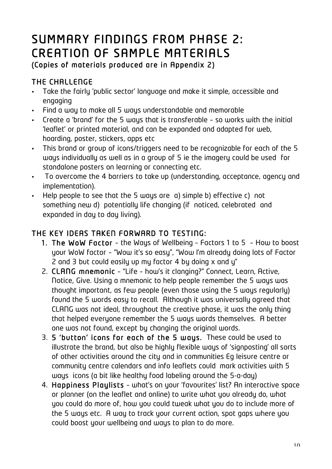## SUMMARY FINDINGS FROM PHASE 2: CREATION OF SAMPLE MATERIALS (Copies of materials produced are in Appendix 2)

#### THE CHALLENGE

- Take the fairly 'public sector' language and make it simple, accessible and engaging
- Find a way to make all 5 ways understandable and memorable
- Create a 'brand' for the 5 ways that is transferable so works with the initial 'leaflet' or printed material, and can be expanded and adapted for web, hoarding, poster, stickers, apps etc
- This brand or group of icons/triggers need to be recognizable for each of the 5 ways individually as well as in a group of 5 ie the imagery could be used for standalone posters on learning or connecting etc.
- To overcome the 4 barriers to take up (understanding, acceptance, agency and implementation).
- Help people to see that the 5 ways are a) simple b) effective c) not something new d) potentially life changing (if noticed, celebrated and expanded in day to day living).

#### THE KEY IDEAS TAKEN FORWARD TO TESTING:

- 1. The WoW Factor the Ways of Wellbeing Factors 1 to 5 How to boost your WoW factor – "Wow it's so easy", "Wow I'm already doing lots of Factor 2 and 3 but could easily up my factor 4 by doing x and y"
- 2. CLANG mnemonic "Life how's it clanging?" Connect, Learn, Active, Notice, Give. Using a mnemonic to help people remember the 5 ways was thought important, as few people (even those using the 5 ways regularly) found the 5 words easy to recall. Although it was universally agreed that CLANG was not ideal, throughout the creative phase, it was the only thing that helped everyone remember the 5 ways words themselves. A better one was not found, except by changing the original words.
- 3. 5 'button' icons for each of the 5 ways. These could be used to illustrate the brand, but also be highly flexible ways of 'signposting' all sorts of other activities around the city and in communities Eg leisure centre or community centre calendars and info leaflets could mark activities with 5 ways icons (a bit like healthy food labeling around the 5-a-day)
- 4. Happiness Playlists what's on your 'favourites' list? An interactive space or planner (on the leaflet and online) to write what you already do, what you could do more of, how you could tweak what you do to include more of the 5 ways etc. A way to track your current action, spot gaps where you could boost your wellbeing and ways to plan to do more.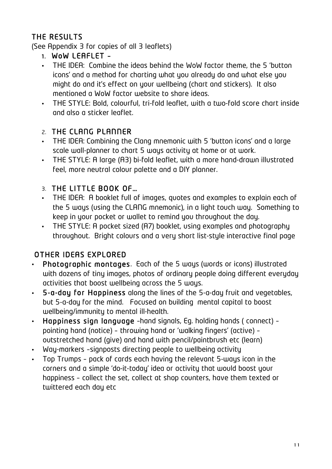#### THE RESULTS

(See Appendix 3 for copies of all 3 leaflets)

- 1. WoW LEAFLET –
- THE IDEA: Combine the ideas behind the WoW factor theme, the 5 'button icons' and a method for charting what you already do and what else you might do and it's effect on your wellbeing (chart and stickers). It also mentioned a WoW factor website to share ideas.
- THE STYLE: Bold, colourful, tri-fold leaflet, with a two-fold score chart inside and also a sticker leaflet.

#### 2. THE CLANG PLANNER

- THE IDEA: Combining the Clang mnemonic with 5 'button icons' and a large scale wall-planner to chart 5 ways activity at home or at work.
- THE STYLE: A large (A3) bi-fold leaflet, with a more hand-drawn illustrated feel, more neutral colour palette and a DIY planner.

#### 3. THE LITTLE BOOK OF…

- THE IDEA: A booklet full of images, quotes and examples to explain each of the 5 ways (using the CLANG mnemonic), in a light touch way. Something to keep in your pocket or wallet to remind you throughout the day.
- THE STYLE: A pocket sized (A7) booklet, using examples and photography throughout. Bright colours and a very short list-style interactive final page

#### OTHER IDEAS EXPLORED

- Photographic montages. Each of the 5 ways (words or icons) illustrated with dozens of tiny images, photos of ordinary people doing different everyday activities that boost wellbeing across the 5 ways.
- 5-a-day for Happiness along the lines of the 5-a-day fruit and vegetables, but 5-a-day for the mind. Focused on building mental capital to boost wellbeing/immunity to mental ill-health.
- Happiness sign language –hand signals, Eg. holding hands ( connect) pointing hand (notice) – throwing hand or 'walking fingers' (active) – outstretched hand (give) and hand with pencil/paintbrush etc (learn)
- Way-markers –signposts directing people to wellbeing activity
- Top Trumps pack of cards each having the relevant 5-ways icon in the corners and a simple 'do-it-today' idea or activity that would boost your happiness – collect the set, collect at shop counters, have them texted or twittered each day etc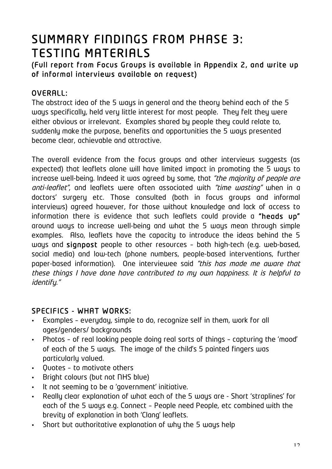# SUMMARY FINDINGS FROM PHASE 3:

TESTING MATERIALS<br>(Full report from Focus Groups is available in Appendix 2, and write up of informal interviews available on request)

#### OVERALL:

The abstract idea of the 5 ways in general and the theory behind each of the 5 ways specifically, held very little interest for most people. They felt they were either obvious or irrelevant. Examples shared by people they could relate to, suddenly make the purpose, benefits and opportunities the 5 ways presented become clear, achievable and attractive.

The overall evidence from the focus groups and other interviews suggests (as expected) that leaflets alone will have limited impact in promoting the 5 ways to increase well-being. Indeed it was agreed by some, that "the majority of people are anti-leaflet", and leaflets were often associated with "time wasting" when in a doctors' surgery etc. Those consulted (both in focus groups and informal interviews) agreed however, for those without knowledge and lack of access to information there is evidence that such leaflets could provide a "heads up" around ways to increase well-being and what the 5 ways mean through simple examples. Also, leaflets have the capacity to introduce the ideas behind the 5 ways and signpost people to other resources – both high-tech (e.g. web-based, social media) and low-tech (phone numbers, people-based interventions, further paper-based information). One interviewee said "this has made me aware that these things I have done have contributed to my own happiness. It is helpful to identify."

#### SPECIFICS - WHAT WORKS:

- Examples everyday, simple to do, recognize self in them, work for all ages/genders/ backgrounds
- Photos of real looking people doing real sorts of things capturing the 'mood' of each of the 5 ways. The image of the child's 5 painted fingers was particularly valued.
- Quotes to motivate others
- Bright colours (but not NHS blue)
- It not seeming to be a 'government' initiative.
- Really clear explanation of what each of the 5 ways are Short 'straplines' for each of the 5 ways e.g. Connect – People need People, etc combined with the brevity of explanation in both 'Clang' leaflets.
- Short but authoritative explanation of why the 5 ways help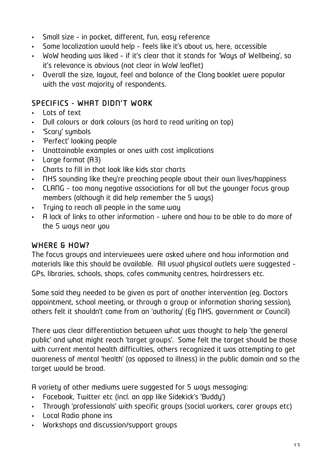- Small size in pocket, different, fun, easy reference
- Some localization would help feels like it's about us, here, accessible
- WoW heading was liked if it's clear that it stands for 'Ways of Wellbeing', so it's relevance is obvious (not clear in WoW leaflet)
- Overall the size, layout, feel and balance of the Clang booklet were popular with the vast majority of respondents.

#### SPECIFICS - WHAT DIDN'T WORK

- Lots of text
- Dull colours or dark colours (as hard to read writing on top)
- 'Scary' symbols
- 'Perfect' looking people
- Unattainable examples or ones with cost implications
- Large format (A3)
- Charts to fill in that look like kids star charts
- NHS sounding like they're preaching people about their own lives/happiness
- CLANG too many negative associations for all but the younger focus group members (although it did help remember the 5 ways)
- Trying to reach all people in the same way
- A lack of links to other information where and how to be able to do more of the 5 ways near you

#### WHERE & HOW?

The focus groups and interviewees were asked where and how information and materials like this should be available. All usual physical outlets were suggested – GPs, libraries, schools, shops, cafes community centres, hairdressers etc.

Some said they needed to be given as part of another intervention (eg. Doctors appointment, school meeting, or through a group or information sharing session), others felt it shouldn't come from an 'authority' (Eg NHS, government or Council)

There was clear differentiation between what was thought to help 'the general public' and what might reach 'target groups'. Some felt the target should be those with current mental health difficulties, others recognized it was attempting to get awareness of mental 'health' (as opposed to illness) in the public domain and so the target would be broad.

A variety of other mediums were suggested for 5 ways messaging:

- Facebook, Twitter etc (incl. an app like Sidekick's 'Buddy')
- Through 'professionals' with specific groups (social workers, carer groups etc)
- Local Radio phone ins
- Workshops and discussion/support groups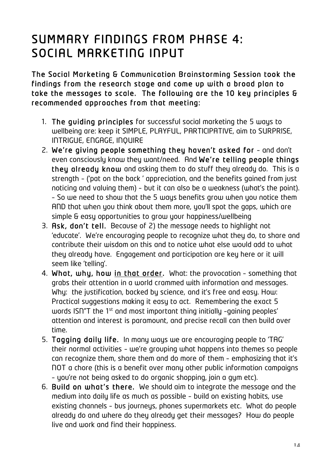### SUMMARY FINDINGS FROM PHASE 4: SOCIAL MARKETING INPUT

The Social Marketing & Communication Brainstorming Session took the findings from the research stage and come up with a broad plan to take the messages to scale. The following are the 10 key principles & recommended approaches from that meeting:

- 1. The guiding principles for successful social marketing the 5 ways to wellbeing are: keep it SIMPLE, PLAYFUL, PARTICIPATIVE, aim to SURPRISE, INTRIGUE, ENGAGE, INQUIRE
- 2. We're giving people something they haven't asked for and don't even consciously know they want/need. And We're telling people things they already know and asking them to do stuff they already do. This is a strength – ('pat on the back ' appreciation, and the benefits gained from just noticing and valuing them) – but it can also be a weakness (what's the point). – So we need to show that the 5 ways benefits grow when you notice them AND that when you think about them more, you'll spot the gaps, which are simple & easy opportunities to grow your happiness/wellbeing
- 3. Ask, don't tell. Because of 2) the message needs to highlight not 'educate'. We're encouraging people to recognize what they do, to share and contribute their wisdom on this and to notice what else would add to what they already have. Engagement and participation are key here or it will seem like 'telling'.
- 4. What, why, how in that order. What: the provocation something that grabs their attention in a world crammed with information and messages. Why: the justification, backed by science, and it's free and easy. How: Practical suggestions making it easy to act. Remembering the exact 5 words ISN"T the 1<sup>st</sup> and most important thing initially -gaining peoples' attention and interest is paramount, and precise recall can then build over time.
- 5. Tagging daily life. In many ways we are encouraging people to 'TAG' their normal activities – we're grouping what happens into themes so people can recognize them, share them and do more of them – emphasizing that it's NOT a chore (this is a benefit over many other public information campaigns – you're not being asked to do organic shopping, join a gym etc).
- 6. Build on what's there. We should aim to integrate the message and the medium into daily life as much as possible – build on existing habits, use existing channels - bus journeus, phones supermarkets etc. What do people already do and where do they already get their messages? How do people live and work and find their happiness.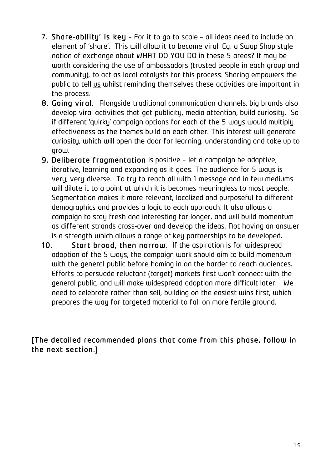- 7. Share-ability' is key For it to go to scale all ideas need to include an element of 'share'. This will allow it to become viral. Eg. a Swap Shop style notion of exchange about WHAT DO YOU DO in these 5 areas? It may be worth considering the use of ambassadors (trusted people in each group and community), to act as local catalysts for this process. Sharing empowers the public to tell us whilst reminding themselves these activities are important in the process.
- 8. Going viral. Alongside traditional communication channels, big brands also develop viral activities that get publicity, media attention, build curiosity. So if different 'quirky' campaign options for each of the 5 ways would multiply effectiveness as the themes build on each other. This interest will generate curiosity, which will open the door for learning, understanding and take up to grow.
- 9. Deliberate fragmentation is positive let a campaign be adaptive, iterative, learning and expanding as it goes. The audience for 5 ways is very, very diverse. To try to reach all with 1 message and in few mediums will dilute it to a point at which it is becomes meaningless to most people. Segmentation makes it more relevant, localized and purposeful to different demographics and provides a logic to each approach. It also allows a campaign to stay fresh and interesting for longer, and will build momentum as different strands cross-over and develop the ideas. Not having an answer is a strength which allows a range of key partnerships to be developed.
- 10. Start broad, then narrow. If the aspiration is for widespread adoption of the 5 ways, the campaign work should aim to build momentum with the general public before homing in on the harder to reach audiences. Efforts to persuade reluctant (target) markets first won't connect with the general public, and will make widespread adoption more difficult later. We need to celebrate rather than sell, building on the easiest wins first, which prepares the way for targeted material to fall on more fertile ground.

#### [The detailed recommended plans that came from this phase, follow in the next section.]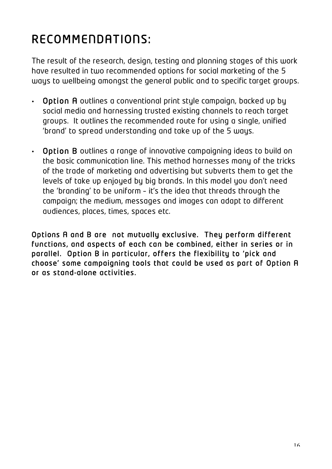## RECOMMENDATIONS:

The result of the research, design, testing and planning stages of this work have resulted in two recommended options for social marketing of the 5 ways to wellbeing amongst the general public and to specific target groups.

- Option A outlines a conventional print style campaign, backed up by social media and harnessing trusted existing channels to reach target groups. It outlines the recommended route for using a single, unified 'brand' to spread understanding and take up of the 5 ways.
- Option B outlines a range of innovative campaigning ideas to build on the basic communication line. This method harnesses many of the tricks of the trade of marketing and advertising but subverts them to get the levels of take up enjoyed by big brands. In this model you don't need the 'branding' to be uniform – it's the idea that threads through the campaign; the medium, messages and images can adapt to different audiences, places, times, spaces etc.

Options A and B are not mutually exclusive. They perform different functions, and aspects of each can be combined, either in series or in parallel. Option B in particular, offers the flexibility to 'pick and choose' some campaigning tools that could be used as part of Option A or as stand-alone activities.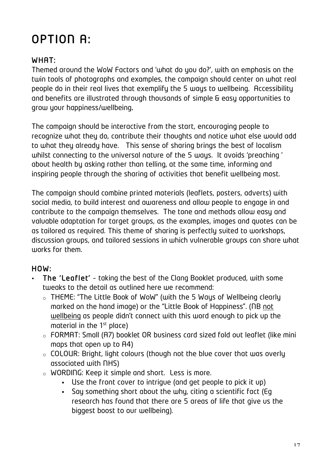## OPTION A:

#### WHAT:

Themed around the WoW Factors and 'what do you do?', with an emphasis on the twin tools of photographs and examples, the campaign should center on what real people do in their real lives that exemplify the 5 ways to wellbeing. Accessibility and benefits are illustrated through thousands of simple & easy opportunities to grow your happiness/wellbeing.

The campaign should be interactive from the start, encouraging people to recognize what they do, contribute their thoughts and notice what else would add to what they already have. This sense of sharing brings the best of localism whilst connecting to the universal nature of the 5 ways. It avoids 'preaching ' about health by asking rather than telling, at the same time, informing and inspiring people through the sharing of activities that benefit wellbeing most.

The campaign should combine printed materials (leaflets, posters, adverts) with social media, to build interest and awareness and allow people to engage in and contribute to the campaign themselves. The tone and methods allow easy and valuable adaptation for target groups, as the examples, images and quotes can be as tailored as required. This theme of sharing is perfectly suited to workshops, discussion groups, and tailored sessions in which vulnerable groups can share what works for them.

#### HOW:

- The 'Leaflet' taking the best of the Clang Booklet produced, with some tweaks to the detail as outlined here we recommend:
	- o THEME: "The Little Book of WoW" (with the 5 Ways of Wellbeing clearly marked on the hand image) or the "Little Book of Happiness". (NB not wellbeing as people didn't connect with this word enough to pick up the material in the 1st place)
	- o FORMAT: Small (A7) booklet OR business card sized fold out leaflet (like mini maps that open up to A4)
	- o COLOUR: Bright, light colours (though not the blue cover that was overly associated with NHS)
	- o WORDING: Keep it simple and short. Less is more.
		- Use the front cover to intrigue (and get people to pick it up)
		- Say something short about the why, citing a scientific fact (Eg research has found that there are 5 areas of life that give us the biggest boost to our wellbeing).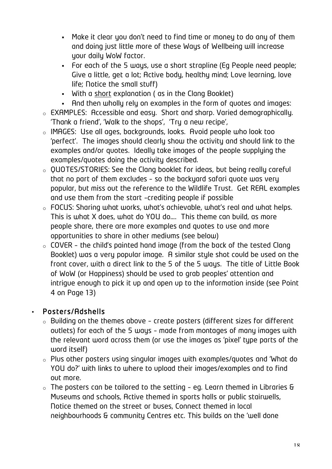- Make it clear you don't need to find time or money to do any of them and doing just little more of these Ways of Wellbeing will increase your daily WoW factor.
- For each of the 5 ways, use a short strapline (Eg People need people; Give a little, get a lot; Active body, healthy mind; Love learning, love life; Notice the small stuff)
- With a short explanation ( as in the Clang Booklet)
- And then wholly rely on examples in the form of quotes and images:
- o EXAMPLES: Accessible and easy. Short and sharp. Varied demographically. 'Thank a friend', 'Walk to the shops', 'Try a new recipe',
- o IMAGES: Use all ages, backgrounds, looks. Avoid people who look too 'perfect'. The images should clearly show the activity and should link to the examples and/or quotes. Ideally take images of the people supplying the examples/quotes doing the activity described.
- o QUOTES/STORIES: See the Clang booklet for ideas, but being really careful that no part of them excludes – so the backyard safari quote was very popular, but miss out the reference to the Wildlife Trust. Get REAL examples and use them from the start –crediting people if possible
- o FOCUS: Sharing what works, what's achievable, what's real and what helps. This is what X does, what do YOU do…. This theme can build, as more people share, there are more examples and quotes to use and more opportunities to share in other mediums (see below)
- $\circ$  COVER the child's painted hand image (from the back of the tested Clang Booklet) was a very popular image. A similar style shot could be used on the front cover, with a direct link to the 5 of the 5 ways. The title of Little Book of WoW (or Happiness) should be used to grab peoples' attention and intrigue enough to pick it up and open up to the information inside (see Point 4 on Page 13)

#### • Posters/Adshells

- o Building on the themes above create posters (different sizes for different outlets) for each of the 5 ways – made from montages of many images with the relevant word across them (or use the images as 'pixel' type parts of the word itself)
- o Plus other posters using singular images with examples/quotes and 'What do YOU do?' with links to where to upload their images/examples and to find out more.
- o The posters can be tailored to the setting eg. Learn themed in Libraries & Museums and schools, Active themed in sports halls or public stairwells, Notice themed on the street or buses, Connect themed in local neighbourhoods & community Centres etc. This builds on the 'well done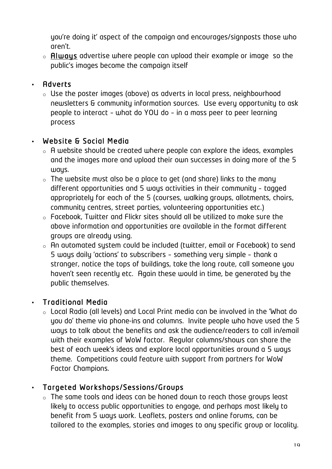you're doing it' aspect of the campaign and encourages/signposts those who aren't.

 $\circ$  **Always** advertise where people can upload their example or image so the public's images become the campaign itself

#### • Adverts

o Use the poster images (above) as adverts in local press, neighbourhood newsletters & community information sources. Use every opportunity to ask people to interact – what do YOU do – in a mass peer to peer learning process

#### • Website & Social Media

- $\circ$  A website should be created where people can explore the ideas, examples and the images more and upload their own successes in doing more of the 5 ways.
- $\circ$  The website must also be a place to get (and share) links to the many different opportunities and 5 ways activities in their community – tagged appropriately for each of the 5 (courses, walking groups, allotments, choirs, community centres, street parties, volunteering opportunities etc.)
- o Facebook, Twitter and Flickr sites should all be utilized to make sure the above information and opportunities are available in the format different groups are already using.
- o An automated system could be included (twitter, email or Facebook) to send 5 ways daily 'actions' to subscribers – something very simple – thank a stranger, notice the tops of buildings, take the long route, call someone you haven't seen recently etc. Again these would in time, be generated by the public themselves.

#### • Traditional Media

o Local Radio (all levels) and Local Print media can be involved in the 'What do you do' theme via phone-ins and columns. Invite people who have used the 5 ways to talk about the benefits and ask the audience/readers to call in/email with their examples of WoW factor. Regular columns/shows can share the best of each week's ideas and explore local opportunities around a 5 ways theme. Competitions could feature with support from partners for WoW Factor Champions.

#### • Targeted Workshops/Sessions/Groups

o The same tools and ideas can be honed down to reach those groups least likely to access public opportunities to engage, and perhaps most likely to benefit from 5 ways work. Leaflets, posters and online forums, can be tailored to the examples, stories and images to any specific group or locality.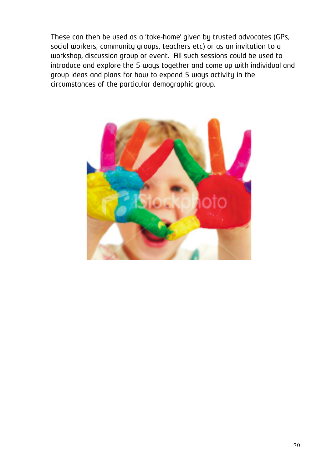These can then be used as a 'take-home' given by trusted advocates (GPs, social workers, community groups, teachers etc) or as an invitation to a workshop, discussion group or event. All such sessions could be used to introduce and explore the 5 ways together and come up with individual and group ideas and plans for how to expand 5 ways activity in the circumstances of the particular demographic group.

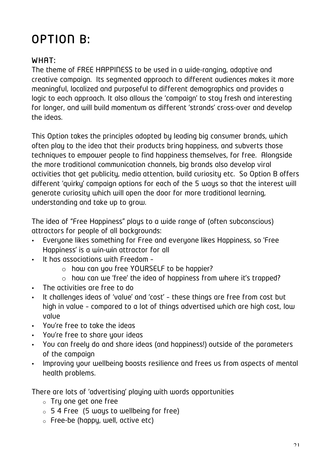## OPTION B:

#### WHAT:

The theme of FREE HAPPINESS to be used in a wide-ranging, adaptive and creative campaign. Its segmented approach to different audiences makes it more meaningful, localized and purposeful to different demographics and provides a logic to each approach. It also allows the 'campaign' to stay fresh and interesting for longer, and will build momentum as different 'strands' cross-over and develop the ideas.

This Option takes the principles adopted by leading big consumer brands, which often play to the idea that their products bring happiness, and subverts those techniques to empower people to find happiness themselves, for free. Alongside the more traditional communication channels, big brands also develop viral activities that get publicity, media attention, build curiosity etc. So Option B offers different 'quirky' campaign options for each of the 5 ways so that the interest will generate curiosity which will open the door for more traditional learning, understanding and take up to grow.

The idea of "Free Happiness" plays to a wide range of (often subconscious) attractors for people of all backgrounds:

- Everyone likes something for Free and everyone likes Happiness, so 'Free Happiness' is a win-win attractor for all
- It has associations with Freedom
	- o how can you free YOURSELF to be happier?
	- o how can we 'free' the idea of happiness from where it's trapped?
- The activities are free to do
- It challenges ideas of 'value' and 'cost' these things are free from cost but high in value – compared to a lot of things advertised which are high cost, low value
- You're free to take the ideas
- You're free to share your ideas
- You can freely do and share ideas (and happiness!) outside of the parameters of the campaign
- Improving your wellbeing boosts resilience and frees us from aspects of mental health problems.

There are lots of 'advertising' playing with words opportunities

- o Try one get one free
- $\circ$  5 4 Free (5 ways to wellbeing for free)
- $\circ$  Free-be (happy, well, active etc)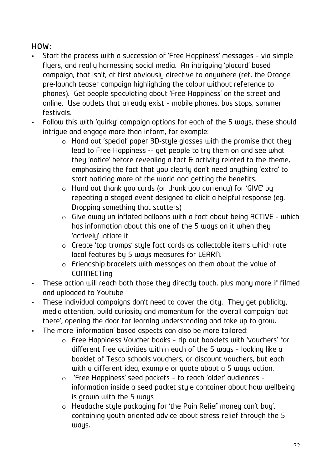#### HOW:

- Start the process with a succession of 'Free Happiness' messages via simple flyers, and really harnessing social media. An intriguing 'placard' based campaign, that isn't, at first obviously directive to anywhere (ref. the Orange pre-launch teaser campaign highlighting the colour without reference to phones). Get people speculating about 'Free Happiness' on the street and online. Use outlets that already exist – mobile phones, bus stops, summer festivals.
- Follow this with 'quirky' campaign options for each of the 5 ways, these should intrigue and engage more than inform, for example:
	- $\circ$  Hand out 'special' paper 3D-style glasses with the promise that they lead to Free Happiness -– get people to try them on and see what they 'notice' before revealing a fact & activity related to the theme, emphasizing the fact that you clearly don't need anything 'extra' to start noticing more of the world and getting the benefits.
	- $\circ$  Hand out thank you cards (or thank you currency) for 'GIVE' by repeating a staged event designed to elicit a helpful response (eg. Dropping something that scatters)
	- $\circ$  Give away un-inflated balloons with a fact about being ACTIVE which has information about this one of the 5 ways on it when they 'actively' inflate it
	- o Create 'top trumps' style fact cards as collectable items which rate local features by 5 ways measures for LEARN.
	- o Friendship bracelets with messages on them about the value of **CONNECTing**
- These action will reach both those they directly touch, plus many more if filmed and uploaded to Youtube
- These individual campaigns don't need to cover the city. They get publicity, media attention, build curiosity and momentum for the overall campaign 'out there', opening the door for learning understanding and take up to grow.
- The more 'information' based aspects can also be more tailored:
	- o Free Happiness Voucher books rip out booklets with 'vouchers' for different free activities within each of the 5 ways – looking like a booklet of Tesco schools vouchers, or discount vouchers, but each with a different idea, example or quote about a 5 ways action.
	- o 'Free Happiness' seed packets to reach 'older' audiences information inside a seed packet style container about how wellbeing is grown with the 5 ways
	- o Headache style packaging for 'the Pain Relief money can't buy', containing youth oriented advice about stress relief through the 5 ways.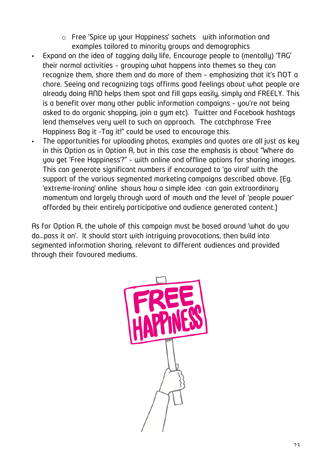- o Free 'Spice up your Happiness' sachets with information and examples tailored to minority groups and demographics
- Expand on the idea of tagging daily life. Encourage people to (mentally) 'TAG' their normal activities – grouping what happens into themes so they can recognize them, share them and do more of them – emphasizing that it's NOT a chore. Seeing and recognizing tags affirms good feelings about what people are already doing AND helps them spot and fill gaps easily, simply and FREELY. This is a benefit over many other public information campaigns – you're not being asked to do organic shopping, join a gym etc). Twitter and Facebook hashtags lend themselves very well to such an approach. The catchphrase 'Free Happiness Bag it -Tag it!" could be used to encourage this.
- The opportunities for uploading photos, examples and quotes are all just as key in this Option as in Option A, but in this case the emphasis is about "Where do you get 'Free Happiness'?" – with online and offline options for sharing images. This can generate significant numbers if encouraged to 'go viral' with the support of the various segmented marketing campaigns described above. [Eg. 'extreme-ironing' online shows how a simple idea can gain extraordinary momentum and largely through word of mouth and the level of 'people power' afforded by their entirely participative and audience generated content.]

As for Option A, the whole of this campaign must be based around 'what do you do…pass it on'. It should start with intriguing provocations, then build into segmented information sharing, relevant to different audiences and provided through their favoured mediums.

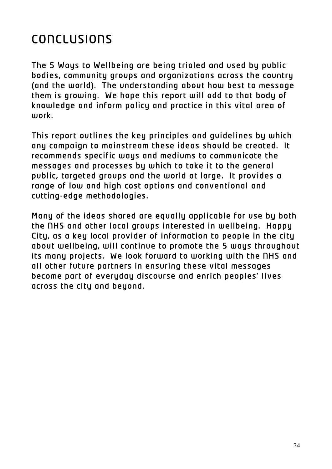## **CONCLUSIONS**

The 5 Ways to Wellbeing are being trialed and used by public bodies, community groups and organizations across the country (and the world). The understanding about how best to message them is growing. We hope this report will add to that body of knowledge and inform policy and practice in this vital area of work.

This report outlines the key principles and guidelines by which any campaign to mainstream these ideas should be created. It recommends specific ways and mediums to communicate the messages and processes by which to take it to the general public, targeted groups and the world at large. It provides a range of low and high cost options and conventional and cutting-edge methodologies.

Many of the ideas shared are equally applicable for use by both the NHS and other local groups interested in wellbeing. Happy City, as a key local provider of information to people in the city about wellbeing, will continue to promote the 5 ways throughout its many projects. We look forward to working with the NHS and all other future partners in ensuring these vital messages become part of everyday discourse and enrich peoples' lives across the city and beyond.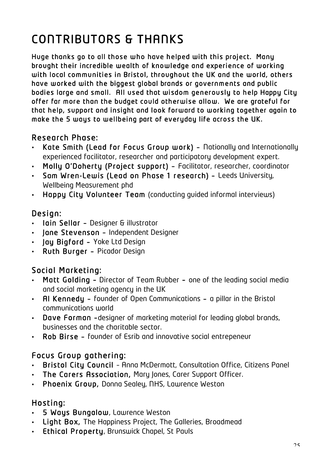## CONTRIBUTORS & THANKS

Huge thanks go to all those who have helped with this project. Many brought their incredible wealth of knowledge and experience of working with local communities in Bristol, throughout the UK and the world, others have worked with the biggest global brands or governments and public bodies large and small. All used that wisdom generously to help Happy City offer far more than the budget could otherwise allow. We are grateful for that help, support and insight and look forward to working together again to make the 5 ways to wellbeing part of everyday life across the UK.

#### Research Phase:

- Kate Smith (Lead for Focus Group work) Nationally and Internationally experienced facilitator, researcher and participatory development expert.
- Molly O'Doherty (Project support) Facilitator, researcher, coordinator
- Sam Wren-Lewis (Lead on Phase 1 research) Leeds University, Wellbeing Measurement phd
- Happy City Volunteer Team (conducting guided informal interviews)

#### Design:

- Iain Sellar Designer & illustrator
- Jane Stevenson Independent Designer
- **Jay Bigford Yoke Ltd Design**
- Ruth Burger Picador Design

#### Social Marketing:

- Matt Golding Director of Team Rubber one of the leading social media and social marketing agency in the UK
- Al Kennedy founder of Open Communications a pillar in the Bristol communications world
- Dave Forman –designer of marketing material for leading global brands, businesses and the charitable sector.
- Rob Birse founder of Esrib and innovative social entrepeneur

#### Focus Group gathering:

- Bristol City Council Anna McDermott, Consultation Office, Citizens Panel
- The Carers Association, Mary Jones, Carer Support Officer.
- Phoenix Group, Donna Sealey, NHS, Lawrence Weston

#### Hosting:

- 5 Ways Bungalow, Lawrence Weston
- Light Box, The Happiness Project, The Galleries, Broadmead
- Ethical Property, Brunswick Chapel, St Pauls